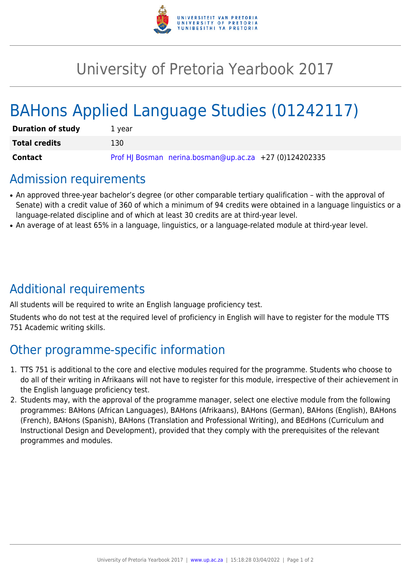

# University of Pretoria Yearbook 2017

# BAHons Applied Language Studies (01242117)

| <b>Duration of study</b> | 1 vear                                                 |
|--------------------------|--------------------------------------------------------|
| <b>Total credits</b>     | 130                                                    |
| Contact                  | Prof HJ Bosman nerina.bosman@up.ac.za +27 (0)124202335 |

### Admission requirements

- An approved three-year bachelor's degree (or other comparable tertiary qualification with the approval of Senate) with a credit value of 360 of which a minimum of 94 credits were obtained in a language linguistics or a language-related discipline and of which at least 30 credits are at third-year level.
- An average of at least 65% in a language, linguistics, or a language-related module at third-year level.

# Additional requirements

All students will be required to write an English language proficiency test.

Students who do not test at the required level of proficiency in English will have to register for the module TTS 751 Academic writing skills.

# Other programme-specific information

- 1. TTS 751 is additional to the core and elective modules required for the programme. Students who choose to do all of their writing in Afrikaans will not have to register for this module, irrespective of their achievement in the English language proficiency test.
- 2. Students may, with the approval of the programme manager, select one elective module from the following programmes: BAHons (African Languages), BAHons (Afrikaans), BAHons (German), BAHons (English), BAHons (French), BAHons (Spanish), BAHons (Translation and Professional Writing), and BEdHons (Curriculum and Instructional Design and Development), provided that they comply with the prerequisites of the relevant programmes and modules.